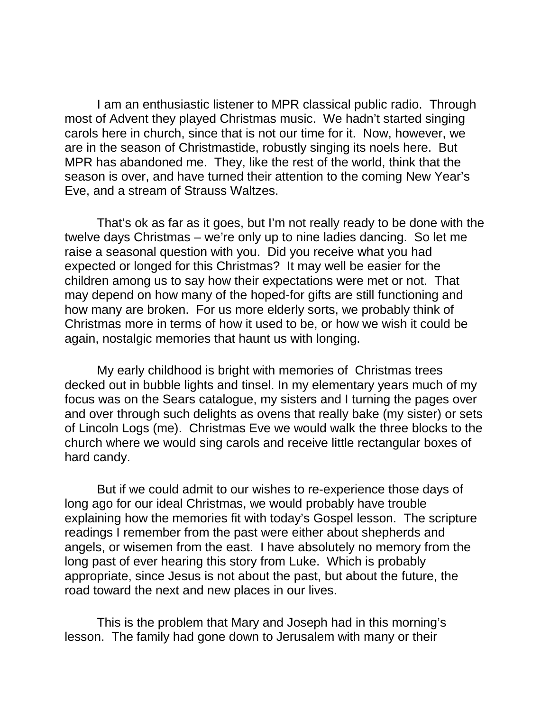I am an enthusiastic listener to MPR classical public radio. Through most of Advent they played Christmas music. We hadn't started singing carols here in church, since that is not our time for it. Now, however, we are in the season of Christmastide, robustly singing its noels here. But MPR has abandoned me. They, like the rest of the world, think that the season is over, and have turned their attention to the coming New Year's Eve, and a stream of Strauss Waltzes.

That's ok as far as it goes, but I'm not really ready to be done with the twelve days Christmas – we're only up to nine ladies dancing. So let me raise a seasonal question with you. Did you receive what you had expected or longed for this Christmas? It may well be easier for the children among us to say how their expectations were met or not. That may depend on how many of the hoped-for gifts are still functioning and how many are broken. For us more elderly sorts, we probably think of Christmas more in terms of how it used to be, or how we wish it could be again, nostalgic memories that haunt us with longing.

My early childhood is bright with memories of Christmas trees decked out in bubble lights and tinsel. In my elementary years much of my focus was on the Sears catalogue, my sisters and I turning the pages over and over through such delights as ovens that really bake (my sister) or sets of Lincoln Logs (me). Christmas Eve we would walk the three blocks to the church where we would sing carols and receive little rectangular boxes of hard candy.

But if we could admit to our wishes to re-experience those days of long ago for our ideal Christmas, we would probably have trouble explaining how the memories fit with today's Gospel lesson. The scripture readings I remember from the past were either about shepherds and angels, or wisemen from the east. I have absolutely no memory from the long past of ever hearing this story from Luke. Which is probably appropriate, since Jesus is not about the past, but about the future, the road toward the next and new places in our lives.

This is the problem that Mary and Joseph had in this morning's lesson. The family had gone down to Jerusalem with many or their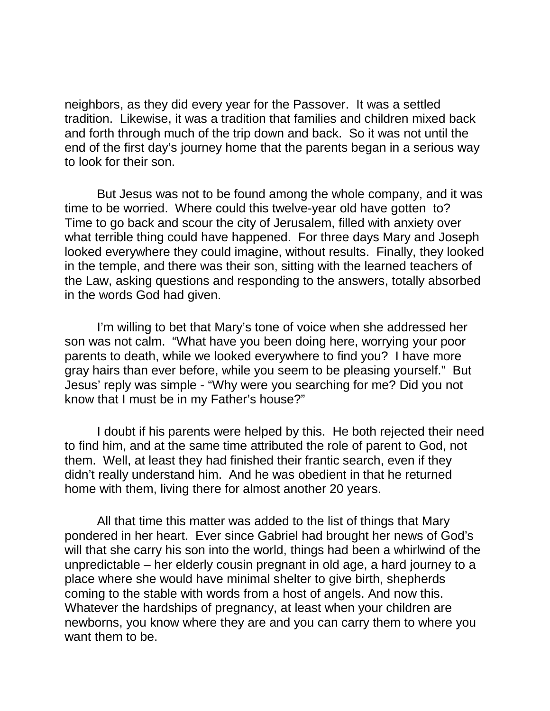neighbors, as they did every year for the Passover. It was a settled tradition. Likewise, it was a tradition that families and children mixed back and forth through much of the trip down and back. So it was not until the end of the first day's journey home that the parents began in a serious way to look for their son.

But Jesus was not to be found among the whole company, and it was time to be worried. Where could this twelve-year old have gotten to? Time to go back and scour the city of Jerusalem, filled with anxiety over what terrible thing could have happened. For three days Mary and Joseph looked everywhere they could imagine, without results. Finally, they looked in the temple, and there was their son, sitting with the learned teachers of the Law, asking questions and responding to the answers, totally absorbed in the words God had given.

I'm willing to bet that Mary's tone of voice when she addressed her son was not calm. "What have you been doing here, worrying your poor parents to death, while we looked everywhere to find you? I have more gray hairs than ever before, while you seem to be pleasing yourself." But Jesus' reply was simple - "Why were you searching for me? Did you not know that I must be in my Father's house?"

I doubt if his parents were helped by this. He both rejected their need to find him, and at the same time attributed the role of parent to God, not them. Well, at least they had finished their frantic search, even if they didn't really understand him. And he was obedient in that he returned home with them, living there for almost another 20 years.

All that time this matter was added to the list of things that Mary pondered in her heart. Ever since Gabriel had brought her news of God's will that she carry his son into the world, things had been a whirlwind of the unpredictable – her elderly cousin pregnant in old age, a hard journey to a place where she would have minimal shelter to give birth, shepherds coming to the stable with words from a host of angels. And now this. Whatever the hardships of pregnancy, at least when your children are newborns, you know where they are and you can carry them to where you want them to be.